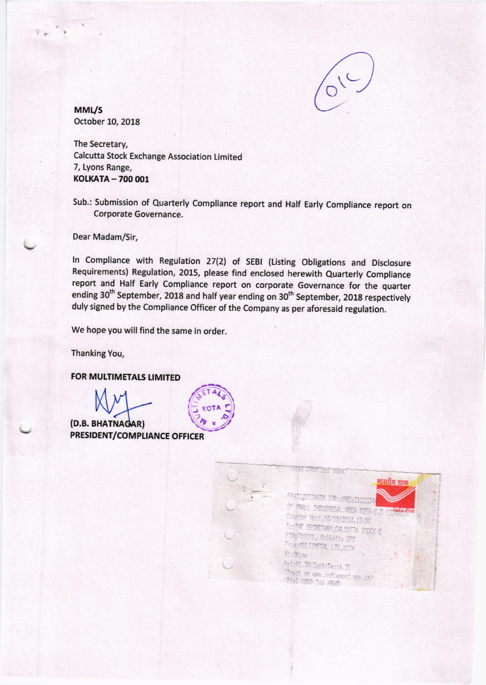

MML/S october 10, 2018

The Secretary, Calcutta Stock Exchange Association Limited 7, Lyons Range, KOLKATA - 700 001

Sub.: Submission of Quarterly Compliance report and Half Early Compliance report on Corporate Governance.

Dear Madam/Sir,

In Compliance with Regulation 27(2) of SEBI (Listing Obligations and Disclosure Requirements) Regulation, 2015, please find enclosed herewith Quarterly Compliance report and Half Early compliance report on corporate Governance for the quarter ending 30<sup>th</sup> September, 2018 and half year ending on 30<sup>th</sup> September, 2018 respectively duly signed by the Compliance Officer of the Company as per aforesaid regulation.

We hope you will find the same in order.

Thanking You,

FOR MULTIMETALS LIMITED

(D.B. BHATNAGAR) PRESIDENT/COMPLIANCE OFFICER

THE JANE 1865 GRAND भारतीय डाक **MIN. PR: 693263** SWALL THOUSTRIAL AREA KOTA C ounter Nost, 10/10/2018, 13:50 TO: THE SECRETARY CALCUTTA STOCK E Piny 700001, Kolkatta SPC FOOTHER LTD, KOTA U: These. Anti41.30(Cash)Taxi6.30 serviceshierne.gov<br>Chack on www.indiapost.gov.in)<br>Ohal tonn nee cozon Dial 1900 765 6868.